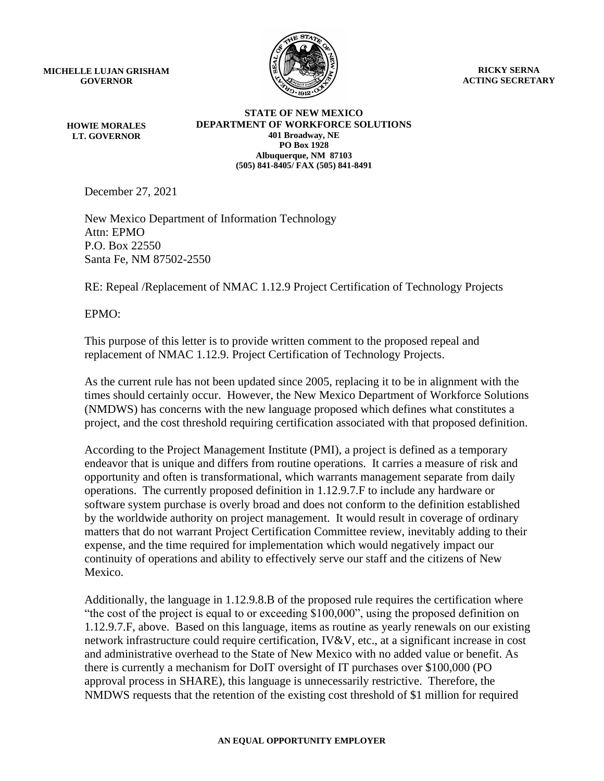**MICHELLE LUJAN GRISHAM GOVERNOR**

> **HOWIE MORALES LT. GOVERNOR**



**RICKY SERNA ACTING SECRETARY**

**STATE OF NEW MEXICO DEPARTMENT OF WORKFORCE SOLUTIONS 401 Broadway, NE PO Box 1928 Albuquerque, NM 87103 (505) 841-8405/ FAX (505) 841-8491**

December 27, 2021

New Mexico Department of Information Technology Attn: EPMO P.O. Box 22550 Santa Fe, NM 87502-2550

RE: Repeal /Replacement of NMAC 1.12.9 Project Certification of Technology Projects

EPMO:

This purpose of this letter is to provide written comment to the proposed repeal and replacement of NMAC 1.12.9. Project Certification of Technology Projects.

As the current rule has not been updated since 2005, replacing it to be in alignment with the times should certainly occur. However, the New Mexico Department of Workforce Solutions (NMDWS) has concerns with the new language proposed which defines what constitutes a project, and the cost threshold requiring certification associated with that proposed definition.

According to the Project Management Institute (PMI), a project is defined as a temporary endeavor that is unique and differs from routine operations. It carries a measure of risk and opportunity and often is transformational, which warrants management separate from daily operations. The currently proposed definition in 1.12.9.7.F to include any hardware or software system purchase is overly broad and does not conform to the definition established by the worldwide authority on project management. It would result in coverage of ordinary matters that do not warrant Project Certification Committee review, inevitably adding to their expense, and the time required for implementation which would negatively impact our continuity of operations and ability to effectively serve our staff and the citizens of New Mexico.

Additionally, the language in 1.12.9.8.B of the proposed rule requires the certification where "the cost of the project is equal to or exceeding \$100,000", using the proposed definition on 1.12.9.7.F, above. Based on this language, items as routine as yearly renewals on our existing network infrastructure could require certification, IV&V, etc., at a significant increase in cost and administrative overhead to the State of New Mexico with no added value or benefit. As there is currently a mechanism for DoIT oversight of IT purchases over \$100,000 (PO approval process in SHARE), this language is unnecessarily restrictive. Therefore, the NMDWS requests that the retention of the existing cost threshold of \$1 million for required